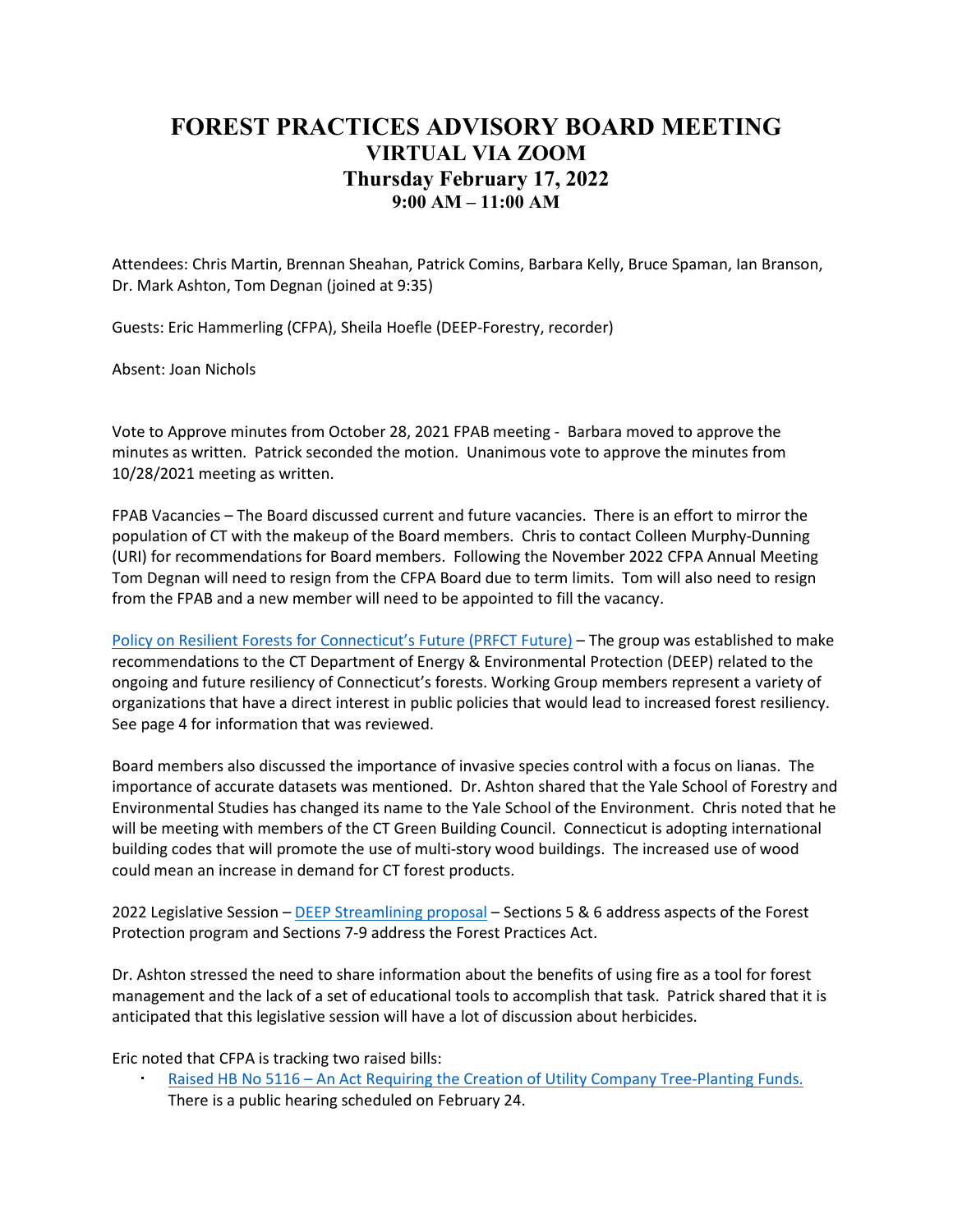## **FOREST PRACTICES ADVISORY BOARD MEETING VIRTUAL VIA ZOOM Thursday February 17, 2022 9:00 AM – 11:00 AM**

Attendees: Chris Martin, Brennan Sheahan, Patrick Comins, Barbara Kelly, Bruce Spaman, Ian Branson, Dr. Mark Ashton, Tom Degnan (joined at 9:35)

Guests: Eric Hammerling (CFPA), Sheila Hoefle (DEEP-Forestry, recorder)

Absent: Joan Nichols

Vote to Approve minutes from October 28, 2021 FPAB meeting - Barbara moved to approve the minutes as written. Patrick seconded the motion. Unanimous vote to approve the minutes from 10/28/2021 meeting as written.

FPAB Vacancies – The Board discussed current and future vacancies. There is an effort to mirror the population of CT with the makeup of the Board members. Chris to contact Colleen Murphy-Dunning (URI) for recommendations for Board members. Following the November 2022 CFPA Annual Meeting Tom Degnan will need to resign from the CFPA Board due to term limits. Tom will also need to resign from the FPAB and a new member will need to be appointed to fill the vacancy.

Policy on Resilient Forests for Connecticut's Future (PRFCT Future) – The group was established to make recommendations to the CT Department of Energy & Environmental Protection (DEEP) related to the ongoing and future resiliency of Connecticut's forests. Working Group members represent a variety of organizations that have a direct interest in public policies that would lead to increased forest resiliency. See page 4 for information that was reviewed.

Board members also discussed the importance of invasive species control with a focus on lianas. The importance of accurate datasets was mentioned. Dr. Ashton shared that the Yale School of Forestry and Environmental Studies has changed its name to the Yale School of the Environment. Chris noted that he will be meeting with members of the CT Green Building Council. Connecticut is adopting international building codes that will promote the use of multi-story wood buildings. The increased use of wood could mean an increase in demand for CT forest products. ark Ashton, Iom [D](https://portal.ct.gov/-/media/OPM/Budget/Legislative-Proposals-2022/DEEP-Legislative-Proposal-Packet.pdf)egnan (Joined at 9:35)<br>
S: Eric Hammerling (CFPA), Sheila Hoefle (DEEP-Forestry, recorder)<br>
It: Joan Nichols<br>
It: Joan Nichols<br>
The Approve minutes from October 28, 2021 FPAB meeting - Barbara moved to app

2022 Legislative Session – DEEP Streamlining proposal – Sections 5 & 6 address aspects of the Forest Protection program and Sections 7-9 address the Forest Practices Act.

Dr. Ashton stressed the need to share information about the benefits of using fire as a tool for forest management and the lack of a set of educational tools to accomplish that task. Patrick shared that it is anticipated that this legislative session will have a lot of discussion about herbicides.

Eric noted that CFPA is tracking two raised bills:

 [Raised HB No 5116 – An Act Requiring the Creation of Utility Company Tree-Planting Funds.](https://www.cga.ct.gov/asp/cgabillstatus/cgabillstatus.asp?selBillType=Bill&which_year=2022&bill_num=5116)  There is a public hearing scheduled on February 24.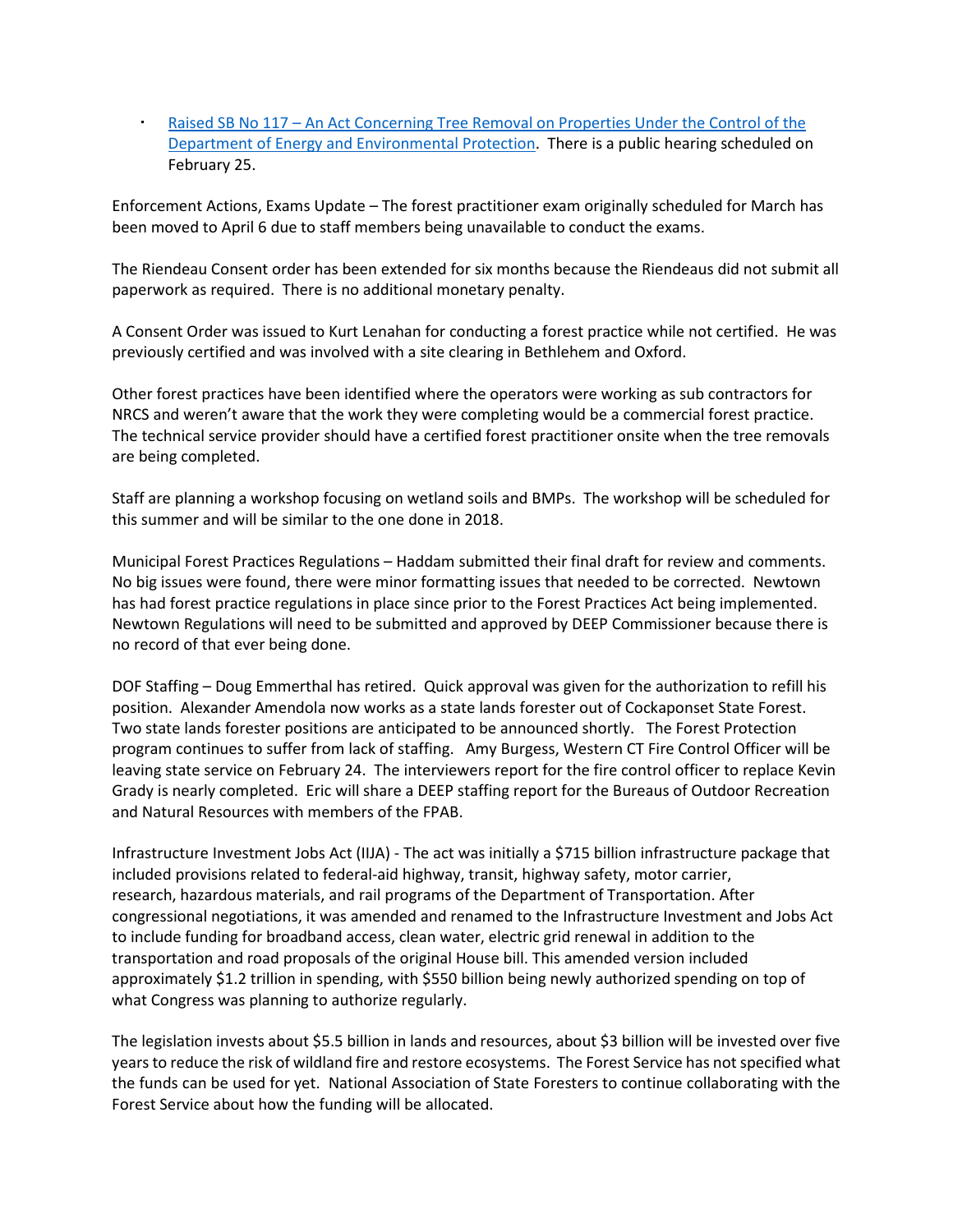[Raised SB No 117 – An Act Concerning Tree Removal on Properties Under the Control of the](https://www.cga.ct.gov/asp/cgabillstatus/cgabillstatus.asp?selBillType=Bill&which_year=2022&bill_num=117)  [Department of Energy and Environmental Protection.](https://www.cga.ct.gov/asp/cgabillstatus/cgabillstatus.asp?selBillType=Bill&which_year=2022&bill_num=117) There is a public hearing scheduled on February 25.

Enforcement Actions, Exams Update – The forest practitioner exam originally scheduled for March has been moved to April 6 due to staff members being unavailable to conduct the exams.

The Riendeau Consent order has been extended for six months because the Riendeaus did not submit all paperwork as required. There is no additional monetary penalty.

A Consent Order was issued to Kurt Lenahan for conducting a forest practice while not certified. He was previously certified and was involved with a site clearing in Bethlehem and Oxford.

Other forest practices have been identified where the operators were working as sub contractors for NRCS and weren't aware that the work they were completing would be a commercial forest practice. The technical service provider should have a certified forest practitioner onsite when the tree removals are being completed.

Staff are planning a workshop focusing on wetland soils and BMPs. The workshop will be scheduled for this summer and will be similar to the one done in 2018.

Municipal Forest Practices Regulations – Haddam submitted their final draft for review and comments. No big issues were found, there were minor formatting issues that needed to be corrected. Newtown has had forest practice regulations in place since prior to the Forest Practices Act being implemented. Newtown Regulations will need to be submitted and approved by DEEP Commissioner because there is no record of that ever being done.

DOF Staffing – Doug Emmerthal has retired. Quick approval was given for the authorization to refill his position. Alexander Amendola now works as a state lands forester out of Cockaponset State Forest. Two state lands forester positions are anticipated to be announced shortly. The Forest Protection program continues to suffer from lack of staffing. Amy Burgess, Western CT Fire Control Officer will be leaving state service on February 24. The interviewers report for the fire control officer to replace Kevin Grady is nearly completed. Eric will share a DEEP staffing report for the Bureaus of Outdoor Recreation and Natural Resources with members of the FPAB. work as required. There is no additional monetary penalty.<br>Sent Order was issued to Kurt Lenahan for conducting a forest practice while not certified. He<br>susly certified and was involved with a site clearing in Bethlehem a

Infrastructure Investment Jobs Act (IIJA) - The act was initially a \$715 billion infrastructure package that included provisions related to federal-aid highway, transit, highway safety, motor carrier, research, hazardous materials, and rail programs of the Department of Transportation. After congressional negotiations, it was amended and renamed to the Infrastructure Investment and Jobs Act to include funding for broadband access, clean water, electric grid renewal in addition to the transportation and road proposals of the original House bill. This amended version included approximately \$1.2 trillion in spending, with \$550 billion being newly authorized spending on top of what Congress was planning to authorize regularly.

The legislation invests about \$5.5 billion in lands and resources, about \$3 billion will be invested over five years to reduce the risk of wildland fire and restore ecosystems. The Forest Service has not specified what the funds can be used for yet. National Association of State Foresters to continue collaborating with the Forest Service about how the funding will be allocated.